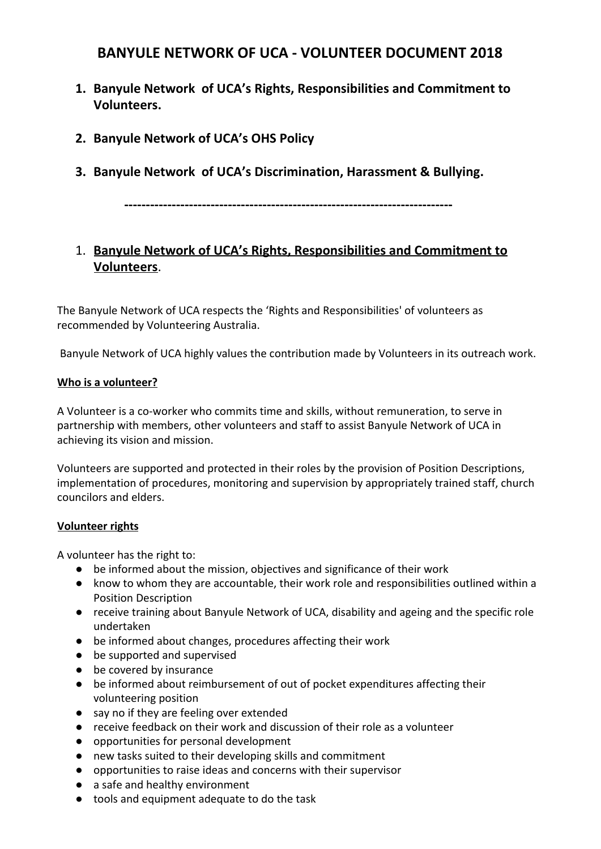# **BANYULE NETWORK OF UCA - VOLUNTEER DOCUMENT 2018**

- **1. Banyule Network of UCA's Rights, Responsibilities and Commitment to Volunteers.**
- **2. Banyule Network of UCA's OHS Policy**
- **3. Banyule Network of UCA's Discrimination, Harassment & Bullying.**

**----------------------------------------------------------------------------**

# 1. **Banyule Network of UCA's Rights, Responsibilities and Commitment to Volunteers**.

The Banyule Network of UCA respects the 'Rights and Responsibilities' of volunteers as recommended by Volunteering Australia.

Banyule Network of UCA highly values the contribution made by Volunteers in its outreach work.

#### **Who is a volunteer?**

A Volunteer is a co-worker who commits time and skills, without remuneration, to serve in partnership with members, other volunteers and staff to assist Banyule Network of UCA in achieving its vision and mission.

Volunteers are supported and protected in their roles by the provision of Position Descriptions, implementation of procedures, monitoring and supervision by appropriately trained staff, church councilors and elders.

#### **Volunteer rights**

A volunteer has the right to:

- be informed about the mission, objectives and significance of their work
- know to whom they are accountable, their work role and responsibilities outlined within a Position Description
- receive training about Banyule Network of UCA, disability and ageing and the specific role undertaken
- be informed about changes, procedures affecting their work
- be supported and supervised
- be covered by insurance
- be informed about reimbursement of out of pocket expenditures affecting their volunteering position
- say no if they are feeling over extended
- receive feedback on their work and discussion of their role as a volunteer
- opportunities for personal development
- new tasks suited to their developing skills and commitment
- opportunities to raise ideas and concerns with their supervisor
- a safe and healthy environment
- tools and equipment adequate to do the task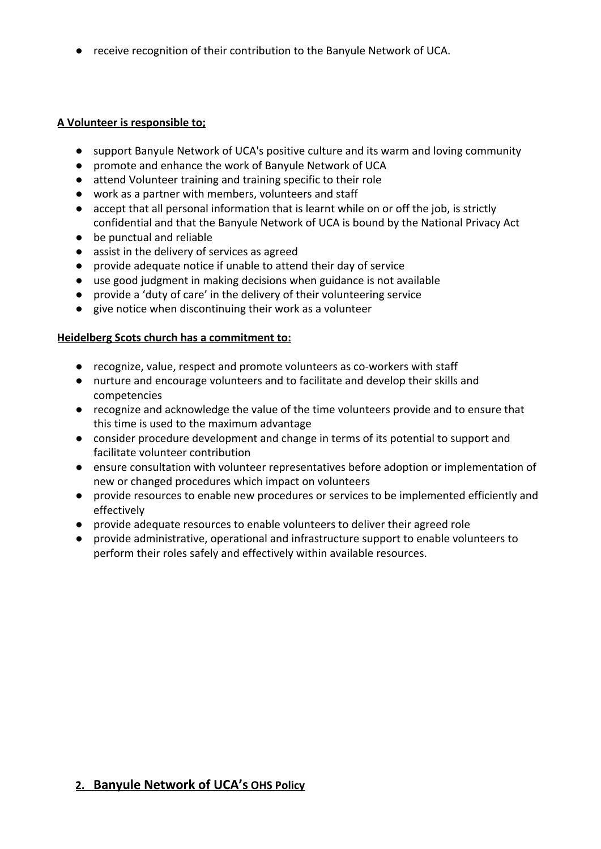● receive recognition of their contribution to the Banyule Network of UCA.

## **A Volunteer is responsible to;**

- support Banyule Network of UCA's positive culture and its warm and loving community
- promote and enhance the work of Banyule Network of UCA
- attend Volunteer training and training specific to their role
- work as a partner with members, volunteers and staff
- accept that all personal information that is learnt while on or off the job, is strictly confidential and that the Banyule Network of UCA is bound by the National Privacy Act
- be punctual and reliable
- assist in the delivery of services as agreed
- provide adequate notice if unable to attend their day of service
- use good judgment in making decisions when guidance is not available
- provide a 'duty of care' in the delivery of their volunteering service
- give notice when discontinuing their work as a volunteer

## **Heidelberg Scots church has a commitment to:**

- recognize, value, respect and promote volunteers as co-workers with staff
- nurture and encourage volunteers and to facilitate and develop their skills and competencies
- recognize and acknowledge the value of the time volunteers provide and to ensure that this time is used to the maximum advantage
- consider procedure development and change in terms of its potential to support and facilitate volunteer contribution
- ensure consultation with volunteer representatives before adoption or implementation of new or changed procedures which impact on volunteers
- provide resources to enable new procedures or services to be implemented efficiently and effectively
- provide adequate resources to enable volunteers to deliver their agreed role
- provide administrative, operational and infrastructure support to enable volunteers to perform their roles safely and effectively within available resources.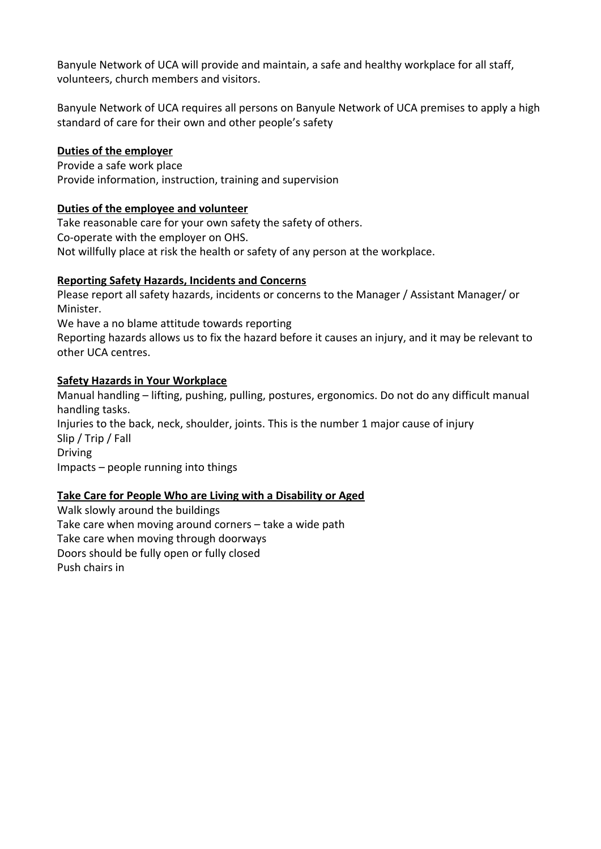Banyule Network of UCA will provide and maintain, a safe and healthy workplace for all staff, volunteers, church members and visitors.

Banyule Network of UCA requires all persons on Banyule Network of UCA premises to apply a high standard of care for their own and other people's safety

## **Duties of the employer**

Provide a safe work place Provide information, instruction, training and supervision

## **Duties of the employee and volunteer**

Take reasonable care for your own safety the safety of others. Co-operate with the employer on OHS. Not willfully place at risk the health or safety of any person at the workplace.

## **Reporting Safety Hazards, Incidents and Concerns**

Please report all safety hazards, incidents or concerns to the Manager / Assistant Manager/ or Minister.

We have a no blame attitude towards reporting

Reporting hazards allows us to fix the hazard before it causes an injury, and it may be relevant to other UCA centres.

#### **Safety Hazards in Your Workplace**

Manual handling – lifting, pushing, pulling, postures, ergonomics. Do not do any difficult manual handling tasks. Injuries to the back, neck, shoulder, joints. This is the number 1 major cause of injury Slip / Trip / Fall Driving Impacts – people running into things

## **Take Care for People Who are Living with a Disability or Aged**

Walk slowly around the buildings Take care when moving around corners – take a wide path Take care when moving through doorways Doors should be fully open or fully closed Push chairs in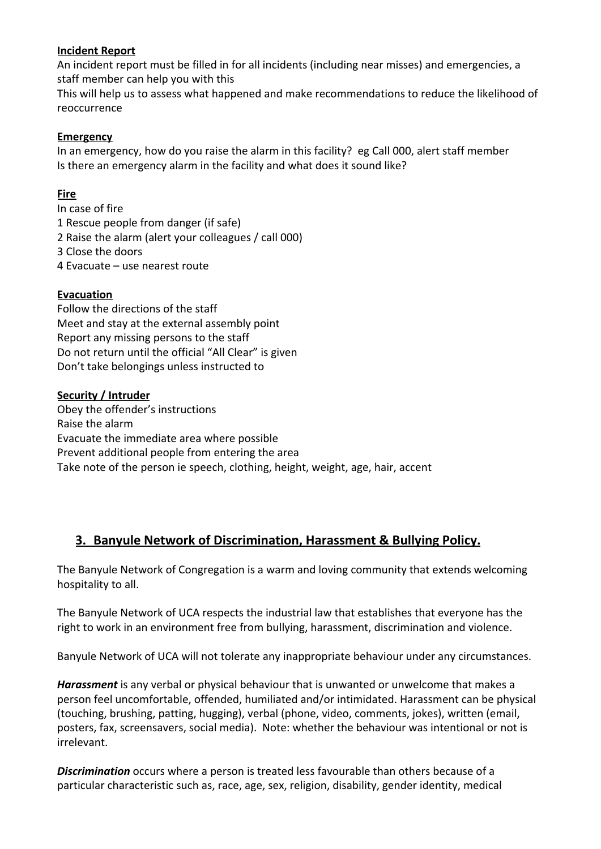#### **Incident Report**

An incident report must be filled in for all incidents (including near misses) and emergencies, a staff member can help you with this

This will help us to assess what happened and make recommendations to reduce the likelihood of reoccurrence

#### **Emergency**

In an emergency, how do you raise the alarm in this facility? eg Call 000, alert staff member Is there an emergency alarm in the facility and what does it sound like?

### **Fire**

In case of fire 1 Rescue people from danger (if safe) 2 Raise the alarm (alert your colleagues / call 000) 3 Close the doors 4 Evacuate – use nearest route

#### **Evacuation**

Follow the directions of the staff Meet and stay at the external assembly point Report any missing persons to the staff Do not return until the official "All Clear" is given Don't take belongings unless instructed to

#### **Security / Intruder**

Obey the offender's instructions Raise the alarm Evacuate the immediate area where possible Prevent additional people from entering the area Take note of the person ie speech, clothing, height, weight, age, hair, accent

## **3. Banyule Network of Discrimination, Harassment & Bullying Policy.**

The Banyule Network of Congregation is a warm and loving community that extends welcoming hospitality to all.

The Banyule Network of UCA respects the industrial law that establishes that everyone has the right to work in an environment free from bullying, harassment, discrimination and violence.

Banyule Network of UCA will not tolerate any inappropriate behaviour under any circumstances.

*Harassment* is any verbal or physical behaviour that is unwanted or unwelcome that makes a person feel uncomfortable, offended, humiliated and/or intimidated. Harassment can be physical (touching, brushing, patting, hugging), verbal (phone, video, comments, jokes), written (email, posters, fax, screensavers, social media). Note: whether the behaviour was intentional or not is irrelevant.

*Discrimination* occurs where a person is treated less favourable than others because of a particular characteristic such as, race, age, sex, religion, disability, gender identity, medical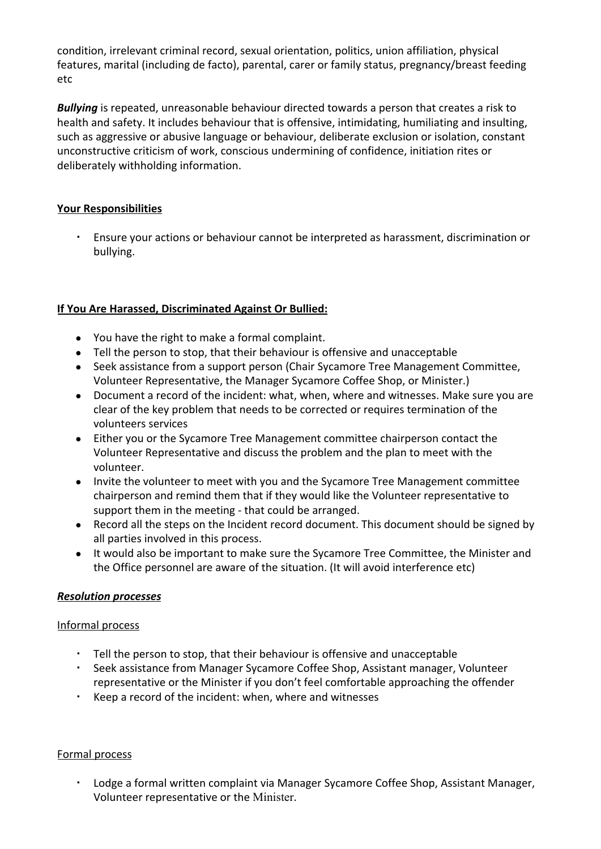condition, irrelevant criminal record, sexual orientation, politics, union affiliation, physical features, marital (including de facto), parental, carer or family status, pregnancy/breast feeding etc

*Bullying* is repeated, unreasonable behaviour directed towards a person that creates a risk to health and safety. It includes behaviour that is offensive, intimidating, humiliating and insulting, such as aggressive or abusive language or behaviour, deliberate exclusion or isolation, constant unconstructive criticism of work, conscious undermining of confidence, initiation rites or deliberately withholding information.

## **Your Responsibilities**

Ensure your actions or behaviour cannot be interpreted as harassment, discrimination or bullying.

## **If You Are Harassed, Discriminated Against Or Bullied:**

- You have the right to make a formal complaint.
- Tell the person to stop, that their behaviour is offensive and unacceptable
- Seek assistance from a support person (Chair Sycamore Tree Management Committee, Volunteer Representative, the Manager Sycamore Coffee Shop, or Minister.)
- Document a record of the incident: what, when, where and witnesses. Make sure you are clear of the key problem that needs to be corrected or requires termination of the volunteers services
- Either you or the Sycamore Tree Management committee chairperson contact the Volunteer Representative and discuss the problem and the plan to meet with the volunteer.
- Invite the volunteer to meet with you and the Sycamore Tree Management committee chairperson and remind them that if they would like the Volunteer representative to support them in the meeting - that could be arranged.
- Record all the steps on the Incident record document. This document should be signed by all parties involved in this process.
- It would also be important to make sure the Sycamore Tree Committee, the Minister and the Office personnel are aware of the situation. (It will avoid interference etc)

## *Resolution processes*

## Informal process

- Tell the person to stop, that their behaviour is offensive and unacceptable
- Seek assistance from Manager Sycamore Coffee Shop, Assistant manager, Volunteer representative or the Minister if you don't feel comfortable approaching the offender
- Keep a record of the incident: when, where and witnesses

## Formal process

▪ Lodge a formal written complaint via Manager Sycamore Coffee Shop, Assistant Manager, Volunteer representative or the Minister.